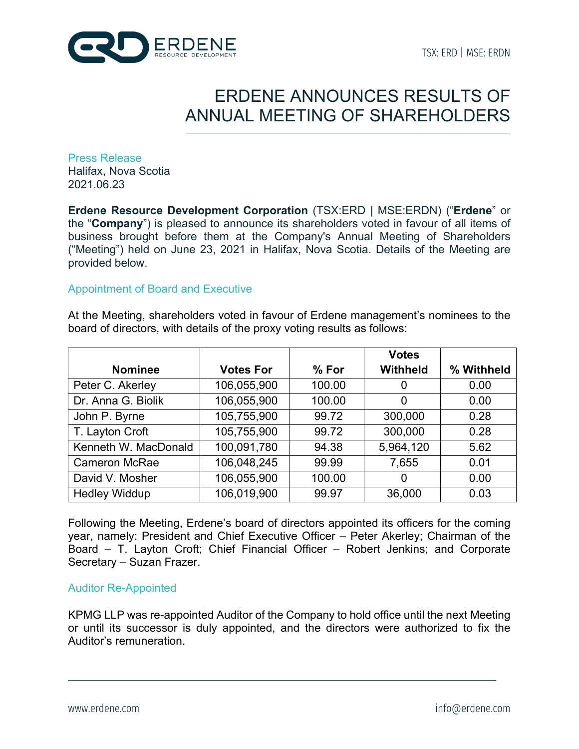

# ERDENE ANNOUNCES RESULTS OF ANNUAL MEETING OF SHAREHOLDERS

Press Release Halifax, Nova Scotia 2021.06.23

**Erdene Resource Development Corporation** (TSX:ERD | MSE:ERDN) ("**Erdene**" or the "**Company**") is pleased to announce its shareholders voted in favour of all items of business brought before them at the Company's Annual Meeting of Shareholders ("Meeting") held on June 23, 2021 in Halifax, Nova Scotia. Details of the Meeting are provided below.

## Appointment of Board and Executive

At the Meeting, shareholders voted in favour of Erdene management's nominees to the board of directors, with details of the proxy voting results as follows:

|                      |                  |         | <b>Votes</b>    |            |
|----------------------|------------------|---------|-----------------|------------|
| <b>Nominee</b>       | <b>Votes For</b> | $%$ For | <b>Withheld</b> | % Withheld |
| Peter C. Akerley     | 106,055,900      | 100.00  | 0               | 0.00       |
| Dr. Anna G. Biolik   | 106,055,900      | 100.00  | 0               | 0.00       |
| John P. Byrne        | 105,755,900      | 99.72   | 300,000         | 0.28       |
| T. Layton Croft      | 105,755,900      | 99.72   | 300,000         | 0.28       |
| Kenneth W. MacDonald | 100,091,780      | 94.38   | 5,964,120       | 5.62       |
| <b>Cameron McRae</b> | 106,048,245      | 99.99   | 7,655           | 0.01       |
| David V. Mosher      | 106,055,900      | 100.00  | 0               | 0.00       |
| <b>Hedley Widdup</b> | 106,019,900      | 99.97   | 36,000          | 0.03       |

Following the Meeting, Erdene's board of directors appointed its officers for the coming year, namely: President and Chief Executive Officer – Peter Akerley; Chairman of the Board – T. Layton Croft; Chief Financial Officer – Robert Jenkins; and Corporate Secretary – Suzan Frazer.

## Auditor Re-Appointed

KPMG LLP was re-appointed Auditor of the Company to hold office until the next Meeting or until its successor is duly appointed, and the directors were authorized to fix the Auditor's remuneration.